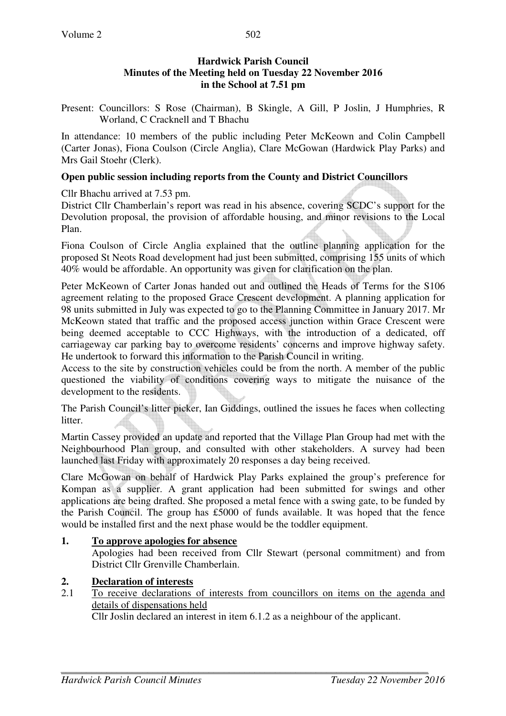## **Hardwick Parish Council Minutes of the Meeting held on Tuesday 22 November 2016 in the School at 7.51 pm**

Present: Councillors: S Rose (Chairman), B Skingle, A Gill, P Joslin, J Humphries, R Worland, C Cracknell and T Bhachu

In attendance: 10 members of the public including Peter McKeown and Colin Campbell (Carter Jonas), Fiona Coulson (Circle Anglia), Clare McGowan (Hardwick Play Parks) and Mrs Gail Stoehr (Clerk).

#### **Open public session including reports from the County and District Councillors**

Cllr Bhachu arrived at 7.53 pm.

District Cllr Chamberlain's report was read in his absence, covering SCDC's support for the Devolution proposal, the provision of affordable housing, and minor revisions to the Local Plan.

Fiona Coulson of Circle Anglia explained that the outline planning application for the proposed St Neots Road development had just been submitted, comprising 155 units of which 40% would be affordable. An opportunity was given for clarification on the plan.

Peter McKeown of Carter Jonas handed out and outlined the Heads of Terms for the S106 agreement relating to the proposed Grace Crescent development. A planning application for 98 units submitted in July was expected to go to the Planning Committee in January 2017. Mr McKeown stated that traffic and the proposed access junction within Grace Crescent were being deemed acceptable to CCC Highways, with the introduction of a dedicated, off carriageway car parking bay to overcome residents' concerns and improve highway safety. He undertook to forward this information to the Parish Council in writing.

Access to the site by construction vehicles could be from the north. A member of the public questioned the viability of conditions covering ways to mitigate the nuisance of the development to the residents.

The Parish Council's litter picker, Ian Giddings, outlined the issues he faces when collecting litter.

Martin Cassey provided an update and reported that the Village Plan Group had met with the Neighbourhood Plan group, and consulted with other stakeholders. A survey had been launched last Friday with approximately 20 responses a day being received.

Clare McGowan on behalf of Hardwick Play Parks explained the group's preference for Kompan as a supplier. A grant application had been submitted for swings and other applications are being drafted. She proposed a metal fence with a swing gate, to be funded by the Parish Council. The group has £5000 of funds available. It was hoped that the fence would be installed first and the next phase would be the toddler equipment.

#### **1. To approve apologies for absence**

Apologies had been received from Cllr Stewart (personal commitment) and from District Cllr Grenville Chamberlain.

## 2. **Declaration of interests**<br>2.1 To receive declarations

2.1 To receive declarations of interests from councillors on items on the agenda and details of dispensations held

Cllr Joslin declared an interest in item 6.1.2 as a neighbour of the applicant.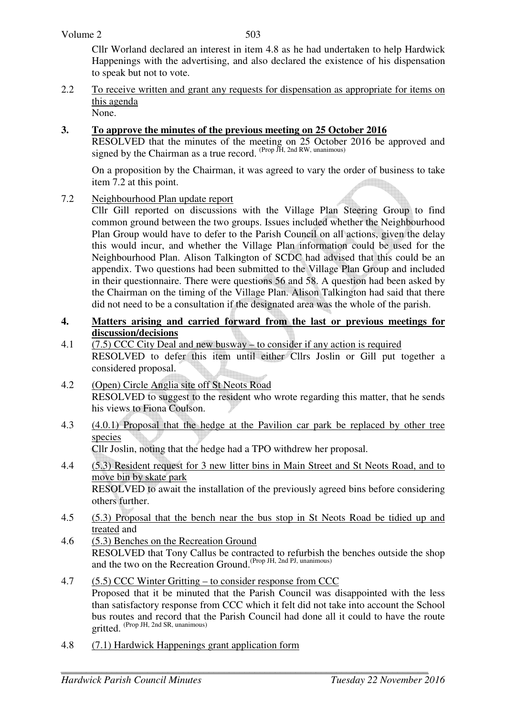Cllr Worland declared an interest in item 4.8 as he had undertaken to help Hardwick Happenings with the advertising, and also declared the existence of his dispensation to speak but not to vote.

2.2 To receive written and grant any requests for dispensation as appropriate for items on this agenda None.

## **3. To approve the minutes of the previous meeting on 25 October 2016**

RESOLVED that the minutes of the meeting on 25 October 2016 be approved and signed by the Chairman as a true record.  $(Prop\ \tilde{J}H, 2nd\ RW, unanimous)$ 

On a proposition by the Chairman, it was agreed to vary the order of business to take item 7.2 at this point.

7.2 Neighbourhood Plan update report

Cllr Gill reported on discussions with the Village Plan Steering Group to find common ground between the two groups. Issues included whether the Neighbourhood Plan Group would have to defer to the Parish Council on all actions, given the delay this would incur, and whether the Village Plan information could be used for the Neighbourhood Plan. Alison Talkington of SCDC had advised that this could be an appendix. Two questions had been submitted to the Village Plan Group and included in their questionnaire. There were questions 56 and 58. A question had been asked by the Chairman on the timing of the Village Plan. Alison Talkington had said that there did not need to be a consultation if the designated area was the whole of the parish.

## **4. Matters arising and carried forward from the last or previous meetings for discussion/decisions**

- 4.1 (7.5) CCC City Deal and new busway to consider if any action is required RESOLVED to defer this item until either Cllrs Joslin or Gill put together a considered proposal.
- 4.2 (Open) Circle Anglia site off St Neots Road RESOLVED to suggest to the resident who wrote regarding this matter, that he sends his views to Fiona Coulson.
- 4.3 (4.0.1) Proposal that the hedge at the Pavilion car park be replaced by other tree species

Cllr Joslin, noting that the hedge had a TPO withdrew her proposal.

- 4.4 (5.3) Resident request for 3 new litter bins in Main Street and St Neots Road, and to move bin by skate park RESOLVED to await the installation of the previously agreed bins before considering others further.
- 4.5 (5.3) Proposal that the bench near the bus stop in St Neots Road be tidied up and treated and
- 4.6 (5.3) Benches on the Recreation Ground RESOLVED that Tony Callus be contracted to refurbish the benches outside the shop and the two on the Recreation Ground.<sup>(Prop JH, 2nd PJ, unanimous)</sup>
- 4.7 (5.5) CCC Winter Gritting to consider response from CCC Proposed that it be minuted that the Parish Council was disappointed with the less than satisfactory response from CCC which it felt did not take into account the School bus routes and record that the Parish Council had done all it could to have the route gritted. (Prop JH, 2nd SR, unanimous)
- 4.8 (7.1) Hardwick Happenings grant application form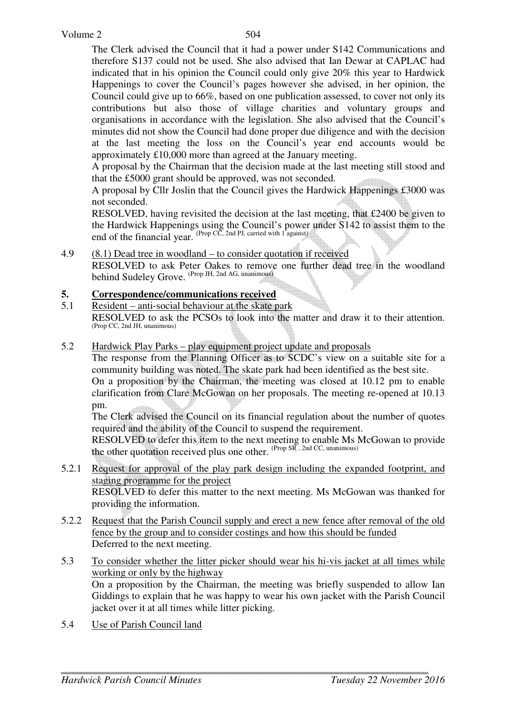The Clerk advised the Council that it had a power under S142 Communications and therefore S137 could not be used. She also advised that Ian Dewar at CAPLAC had indicated that in his opinion the Council could only give 20% this year to Hardwick Happenings to cover the Council's pages however she advised, in her opinion, the Council could give up to 66%, based on one publication assessed, to cover not only its contributions but also those of village charities and voluntary groups and organisations in accordance with the legislation. She also advised that the Council's minutes did not show the Council had done proper due diligence and with the decision at the last meeting the loss on the Council's year end accounts would be approximately £10,000 more than agreed at the January meeting.

A proposal by the Chairman that the decision made at the last meeting still stood and that the £5000 grant should be approved, was not seconded.

A proposal by Cllr Joslin that the Council gives the Hardwick Happenings £3000 was not seconded.

RESOLVED, having revisited the decision at the last meeting, that £2400 be given to the Hardwick Happenings using the Council's power under S142 to assist them to the end of the financial year. (Prop CC, 2nd PJ, carried with 1 against)

#### 4.9 (8.1) Dead tree in woodland – to consider quotation if received

 RESOLVED to ask Peter Oakes to remove one further dead tree in the woodland behind Sudeley Grove. (Prop JH, 2nd AG, unanimous)

#### **5. Correspondence/communications received**

- 5.1 Resident anti-social behaviour at the skate park RESOLVED to ask the PCSOs to look into the matter and draw it to their attention. (Prop CC, 2nd JH, unanimous)
- 5.2 Hardwick Play Parks play equipment project update and proposals

 The response from the Planning Officer as to SCDC's view on a suitable site for a community building was noted. The skate park had been identified as the best site.

 On a proposition by the Chairman, the meeting was closed at 10.12 pm to enable clarification from Clare McGowan on her proposals. The meeting re-opened at 10.13 pm.

 The Clerk advised the Council on its financial regulation about the number of quotes required and the ability of the Council to suspend the requirement.

RESOLVED to defer this item to the next meeting to enable Ms McGowan to provide the other quotation received plus one other. (Prop SR, 2nd CC, unanimous)

- 5.2.1 Request for approval of the play park design including the expanded footprint, and staging programme for the project RESOLVED to defer this matter to the next meeting. Ms McGowan was thanked for providing the information.
- 5.2.2 Request that the Parish Council supply and erect a new fence after removal of the old fence by the group and to consider costings and how this should be funded Deferred to the next meeting.
- 5.3 To consider whether the litter picker should wear his hi-vis jacket at all times while working or only by the highway On a proposition by the Chairman, the meeting was briefly suspended to allow Ian Giddings to explain that he was happy to wear his own jacket with the Parish Council jacket over it at all times while litter picking.
- 5.4 Use of Parish Council land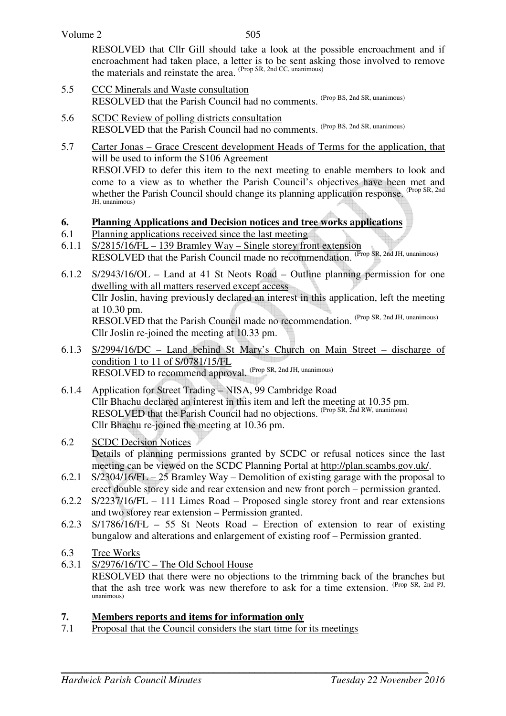505

RESOLVED that Cllr Gill should take a look at the possible encroachment and if encroachment had taken place, a letter is to be sent asking those involved to remove the materials and reinstate the area. (Prop SR, 2nd CC, unanimous)

- 5.5 CCC Minerals and Waste consultation RESOLVED that the Parish Council had no comments. (Prop BS, 2nd SR, unanimous)
- 5.6 SCDC Review of polling districts consultation RESOLVED that the Parish Council had no comments. (Prop BS, 2nd SR, unanimous)
- 5.7 Carter Jonas Grace Crescent development Heads of Terms for the application, that will be used to inform the S106 Agreement RESOLVED to defer this item to the next meeting to enable members to look and come to a view as to whether the Parish Council's objectives have been met and whether the Parish Council should change its planning application response. (Prop SR, 2nd JH, unanimous)
- **6. Planning Applications and Decision notices and tree works applications**
- 6.1 Planning applications received since the last meeting
- 6.1.1 S/2815/16/FL 139 Bramley Way Single storey front extension RESOLVED that the Parish Council made no recommendation. <sup>(Prop</sup> SR, 2nd JH, unanimous)
- 6.1.2 S/2943/16/OL Land at 41 St Neots Road Outline planning permission for one dwelling with all matters reserved except access Cllr Joslin, having previously declared an interest in this application, left the meeting at 10.30 pm. RESOLVED that the Parish Council made no recommendation. (Prop SR, 2nd JH, unanimous) Cllr Joslin re-joined the meeting at 10.33 pm.
- 6.1.3 S/2994/16/DC Land behind St Mary's Church on Main Street discharge of condition 1 to 11 of S/0781/15/FL RESOLVED to recommend approval. (Prop SR, 2nd JH, unanimous)
- 6.1.4 Application for Street Trading NISA, 99 Cambridge Road Cllr Bhachu declared an interest in this item and left the meeting at 10.35 pm. RESOLVED that the Parish Council had no objections. <sup>(Prop SR, 2nd RW, unanimous)</sup> Cllr Bhachu re-joined the meeting at 10.36 pm.
- 6.2 SCDC Decision Notices Details of planning permissions granted by SCDC or refusal notices since the last meeting can be viewed on the SCDC Planning Portal at http://plan.scambs.gov.uk/.
- 6.2.1 S/2304/16/FL 25 Bramley Way Demolition of existing garage with the proposal to erect double storey side and rear extension and new front porch – permission granted.
- 6.2.2 S/2237/16/FL 111 Limes Road Proposed single storey front and rear extensions and two storey rear extension – Permission granted.
- 6.2.3 S/1786/16/FL 55 St Neots Road Erection of extension to rear of existing bungalow and alterations and enlargement of existing roof – Permission granted.
- 6.3 Tree Works
- 6.3.1 S/2976/16/TC The Old School House

 RESOLVED that there were no objections to the trimming back of the branches but that the ash tree work was new therefore to ask for a time extension. (Prop SR, 2nd PJ, unanimous)

#### **7. Members reports and items for information only**

7.1 Proposal that the Council considers the start time for its meetings